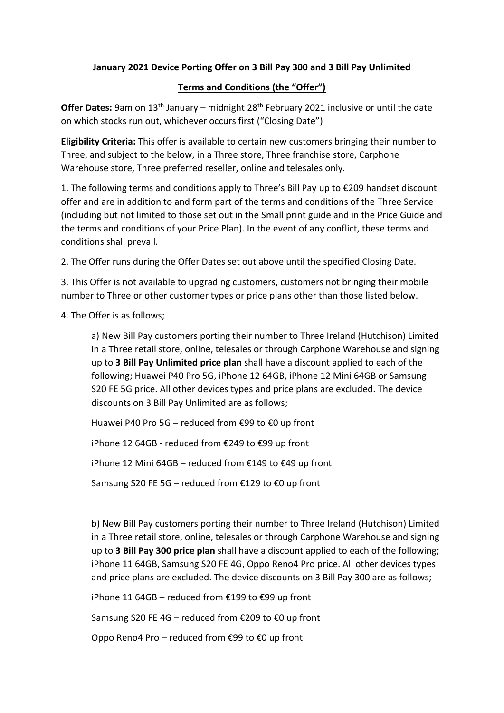## **January 2021 Device Porting Offer on 3 Bill Pay 300 and 3 Bill Pay Unlimited**

## **Terms and Conditions (the "Offer")**

**Offer Dates:** 9am on 13<sup>th</sup> January – midnight 28<sup>th</sup> February 2021 inclusive or until the date on which stocks run out, whichever occurs first ("Closing Date")

**Eligibility Criteria:** This offer is available to certain new customers bringing their number to Three, and subject to the below, in a Three store, Three franchise store, Carphone Warehouse store, Three preferred reseller, online and telesales only.

1. The following terms and conditions apply to Three's Bill Pay up to €209 handset discount offer and are in addition to and form part of the terms and conditions of the Three Service (including but not limited to those set out in the Small print guide and in the Price Guide and the terms and conditions of your Price Plan). In the event of any conflict, these terms and conditions shall prevail.

2. The Offer runs during the Offer Dates set out above until the specified Closing Date.

3. This Offer is not available to upgrading customers, customers not bringing their mobile number to Three or other customer types or price plans other than those listed below.

4. The Offer is as follows;

a) New Bill Pay customers porting their number to Three Ireland (Hutchison) Limited in a Three retail store, online, telesales or through Carphone Warehouse and signing up to **3 Bill Pay Unlimited price plan** shall have a discount applied to each of the following; Huawei P40 Pro 5G, iPhone 12 64GB, iPhone 12 Mini 64GB or Samsung S20 FE 5G price. All other devices types and price plans are excluded. The device discounts on 3 Bill Pay Unlimited are as follows;

Huawei P40 Pro 5G – reduced from €99 to €0 up front

iPhone 12 64GB - reduced from €249 to €99 up front

iPhone 12 Mini 64GB – reduced from €149 to €49 up front

Samsung S20 FE 5G – reduced from €129 to €0 up front

b) New Bill Pay customers porting their number to Three Ireland (Hutchison) Limited in a Three retail store, online, telesales or through Carphone Warehouse and signing up to **3 Bill Pay 300 price plan** shall have a discount applied to each of the following; iPhone 11 64GB, Samsung S20 FE 4G, Oppo Reno4 Pro price. All other devices types and price plans are excluded. The device discounts on 3 Bill Pay 300 are as follows;

iPhone 11 64GB – reduced from €199 to €99 up front

Samsung S20 FE 4G – reduced from €209 to €0 up front

Oppo Reno4 Pro – reduced from €99 to €0 up front